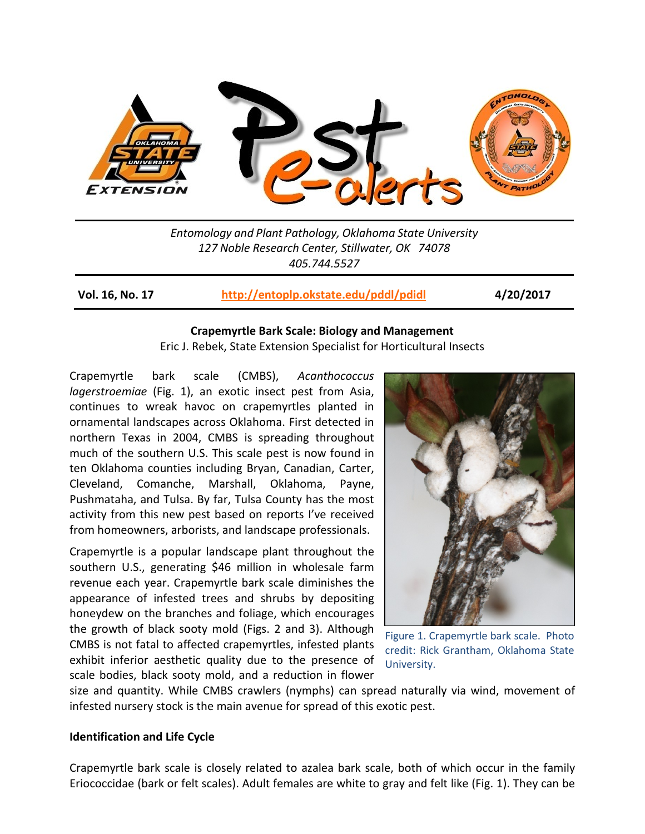

*Entomology and Plant Pathology, Oklahoma State University 127 Noble Research Center, Stillwater, OK 74078 405.744.5527*

**Vol. 16, No. 17 <http://entoplp.okstate.edu/pddl/pdidl> 4/20/2017**

### **Crapemyrtle Bark Scale: Biology and Management**

Eric J. Rebek, State Extension Specialist for Horticultural Insects

Crapemyrtle bark scale (CMBS), *Acanthococcus lagerstroemiae* (Fig. 1), an exotic insect pest from Asia, continues to wreak havoc on crapemyrtles planted in ornamental landscapes across Oklahoma. First detected in northern Texas in 2004, CMBS is spreading throughout much of the southern U.S. This scale pest is now found in ten Oklahoma counties including Bryan, Canadian, Carter, Cleveland, Comanche, Marshall, Oklahoma, Payne, Pushmataha, and Tulsa. By far, Tulsa County has the most activity from this new pest based on reports I've received from homeowners, arborists, and landscape professionals.

Crapemyrtle is a popular landscape plant throughout the southern U.S., generating \$46 million in wholesale farm revenue each year. Crapemyrtle bark scale diminishes the appearance of infested trees and shrubs by depositing honeydew on the branches and foliage, which encourages the growth of black sooty mold (Figs. 2 and 3). Although CMBS is not fatal to affected crapemyrtles, infested plants exhibit inferior aesthetic quality due to the presence of scale bodies, black sooty mold, and a reduction in flower



Figure 1. Crapemyrtle bark scale. Photo credit: Rick Grantham, Oklahoma State University.

size and quantity. While CMBS crawlers (nymphs) can spread naturally via wind, movement of infested nursery stock is the main avenue for spread of this exotic pest.

# **Identification and Life Cycle**

Crapemyrtle bark scale is closely related to azalea bark scale, both of which occur in the family Eriococcidae (bark or felt scales). Adult females are white to gray and felt like (Fig. 1). They can be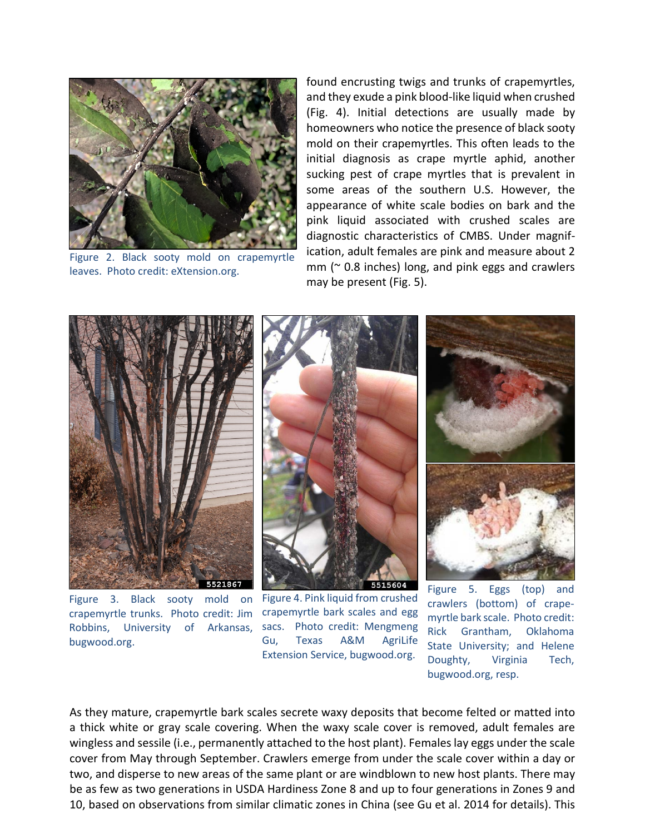

Figure 2. Black sooty mold on crapemyrtle leaves. Photo credit: eXtension.org.

found encrusting twigs and trunks of crapemyrtles, and they exude a pink blood-like liquid when crushed (Fig. 4). Initial detections are usually made by homeowners who notice the presence of black sooty mold on their crapemyrtles. This often leads to the initial diagnosis as crape myrtle aphid, another sucking pest of crape myrtles that is prevalent in some areas of the southern U.S. However, the appearance of white scale bodies on bark and the pink liquid associated with crushed scales are diagnostic characteristics of CMBS. Under magnification, adult females are pink and measure about 2  $mm$  ( $\approx$  0.8 inches) long, and pink eggs and crawlers may be present (Fig. 5).



Figure 3. Black sooty mold on crapemyrtle trunks. Photo credit: Jim Robbins, University of Arkansas, sacs. Photo credit: Mengmeng bugwood.org.



Figure 4. Pink liquid from crushed crapemyrtle bark scales and egg Gu, Texas A&M AgriLife Extension Service, bugwood.org.



Figure 5. Eggs (top) and crawlers (bottom) of crapemyrtle bark scale. Photo credit: Rick Grantham, Oklahoma State University; and Helene Doughty, Virginia Tech, bugwood.org, resp.

As they mature, crapemyrtle bark scales secrete waxy deposits that become felted or matted into a thick white or gray scale covering. When the waxy scale cover is removed, adult females are wingless and sessile (i.e., permanently attached to the host plant). Females lay eggs under the scale cover from May through September. Crawlers emerge from under the scale cover within a day or two, and disperse to new areas of the same plant or are windblown to new host plants. There may be as few as two generations in USDA Hardiness Zone 8 and up to four generations in Zones 9 and 10, based on observations from similar climatic zones in China (see Gu et al. 2014 for details). This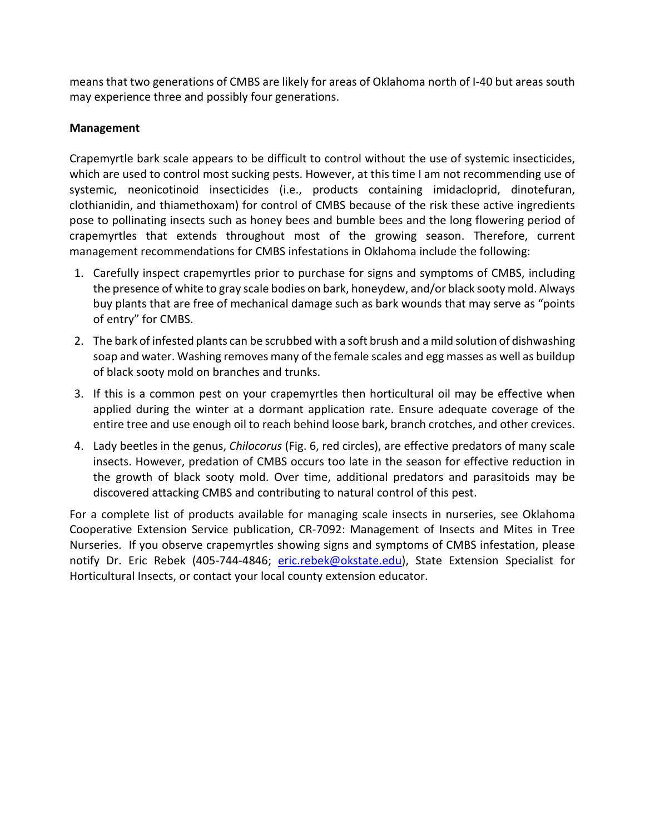means that two generations of CMBS are likely for areas of Oklahoma north of I-40 but areas south may experience three and possibly four generations.

# **Management**

Crapemyrtle bark scale appears to be difficult to control without the use of systemic insecticides, which are used to control most sucking pests. However, at this time I am not recommending use of systemic, neonicotinoid insecticides (i.e., products containing imidacloprid, dinotefuran, clothianidin, and thiamethoxam) for control of CMBS because of the risk these active ingredients pose to pollinating insects such as honey bees and bumble bees and the long flowering period of crapemyrtles that extends throughout most of the growing season. Therefore, current management recommendations for CMBS infestations in Oklahoma include the following:

- 1. Carefully inspect crapemyrtles prior to purchase for signs and symptoms of CMBS, including the presence of white to gray scale bodies on bark, honeydew, and/or black sooty mold. Always buy plants that are free of mechanical damage such as bark wounds that may serve as "points of entry" for CMBS.
- 2. The bark of infested plants can be scrubbed with a soft brush and a mild solution of dishwashing soap and water. Washing removes many of the female scales and egg masses as well as buildup of black sooty mold on branches and trunks.
- 3. If this is a common pest on your crapemyrtles then horticultural oil may be effective when applied during the winter at a dormant application rate. Ensure adequate coverage of the entire tree and use enough oil to reach behind loose bark, branch crotches, and other crevices.
- 4. Lady beetles in the genus, *Chilocorus* (Fig. 6, red circles), are effective predators of many scale insects. However, predation of CMBS occurs too late in the season for effective reduction in the growth of black sooty mold. Over time, additional predators and parasitoids may be discovered attacking CMBS and contributing to natural control of this pest.

For a complete list of products available for managing scale insects in nurseries, see Oklahoma Cooperative Extension Service publication, CR-7092: Management of Insects and Mites in Tree Nurseries. If you observe crapemyrtles showing signs and symptoms of CMBS infestation, please notify Dr. Eric Rebek (405-744-4846; [eric.rebek@okstate.edu\)](mailto:eric.rebek@okstate.edu), State Extension Specialist for Horticultural Insects, or contact your local county extension educator.